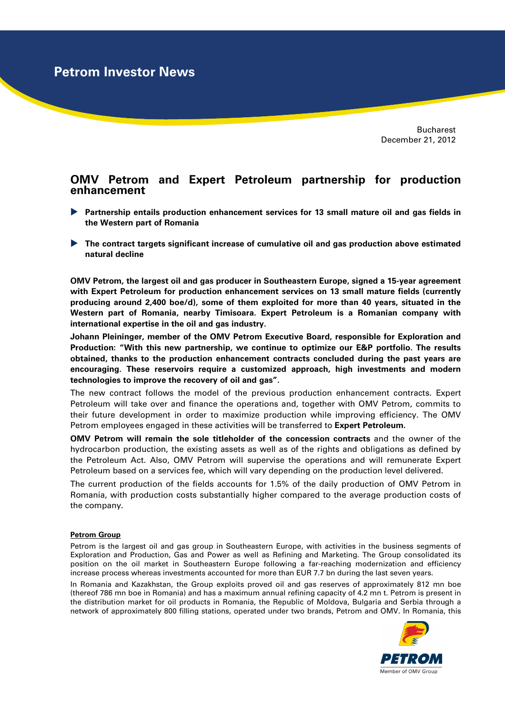**Petrom Investor News**

Bucharest December 21, 2012

## **OMV Petrom and Expert Petroleum partnership for production enhancement**

- **Partnership entails production enhancement services for 13 small mature oil and gas fields in the Western part of Romania**
- **The contract targets significant increase of cumulative oil and gas production above estimated natural decline**

**OMV Petrom, the largest oil and gas producer in Southeastern Europe, signed a 15-year agreement with Expert Petroleum for production enhancement services on 13 small mature fields (currently producing around 2,400 boe/d), some of them exploited for more than 40 years, situated in the Western part of Romania, nearby Timisoara. Expert Petroleum is a Romanian company with international expertise in the oil and gas industry.** 

**Johann Pleininger, member of the OMV Petrom Executive Board, responsible for Exploration and Production: "With this new partnership, we continue to optimize our E&P portfolio. The results obtained, thanks to the production enhancement contracts concluded during the past years are encouraging. These reservoirs require a customized approach, high investments and modern technologies to improve the recovery of oil and gas".** 

The new contract follows the model of the previous production enhancement contracts. Expert Petroleum will take over and finance the operations and, together with OMV Petrom, commits to their future development in order to maximize production while improving efficiency. The OMV Petrom employees engaged in these activities will be transferred to **Expert Petroleum.** 

**OMV Petrom will remain the sole titleholder of the concession contracts** and the owner of the hydrocarbon production, the existing assets as well as of the rights and obligations as defined by the Petroleum Act. Also, OMV Petrom will supervise the operations and will remunerate Expert Petroleum based on a services fee, which will vary depending on the production level delivered.

The current production of the fields accounts for 1.5% of the daily production of OMV Petrom in Romania, with production costs substantially higher compared to the average production costs of the company.

## **Petrom Group**

Petrom is the largest oil and gas group in Southeastern Europe, with activities in the business segments of Exploration and Production, Gas and Power as well as Refining and Marketing. The Group consolidated its position on the oil market in Southeastern Europe following a far-reaching modernization and efficiency increase process whereas investments accounted for more than EUR 7.7 bn during the last seven years.

In Romania and Kazakhstan, the Group exploits proved oil and gas reserves of approximately 812 mn boe (thereof 786 mn boe in Romania) and has a maximum annual refining capacity of 4.2 mn t. Petrom is present in the distribution market for oil products in Romania, the Republic of Moldova, Bulgaria and Serbia through a network of approximately 800 filling stations, operated under two brands, Petrom and OMV. In Romania, this